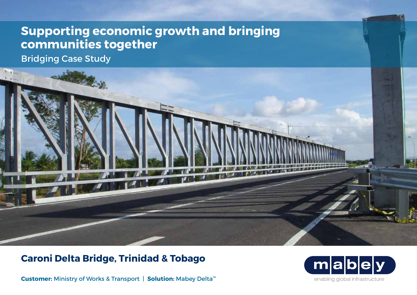# **Supporting economic growth and bringing communities together**

Bridging Case Study



## **Caroni Delta Bridge, Trinidad & Tobago**

**Customer:** Ministry of Works & Transport | **Solution:** Mabey Delta™